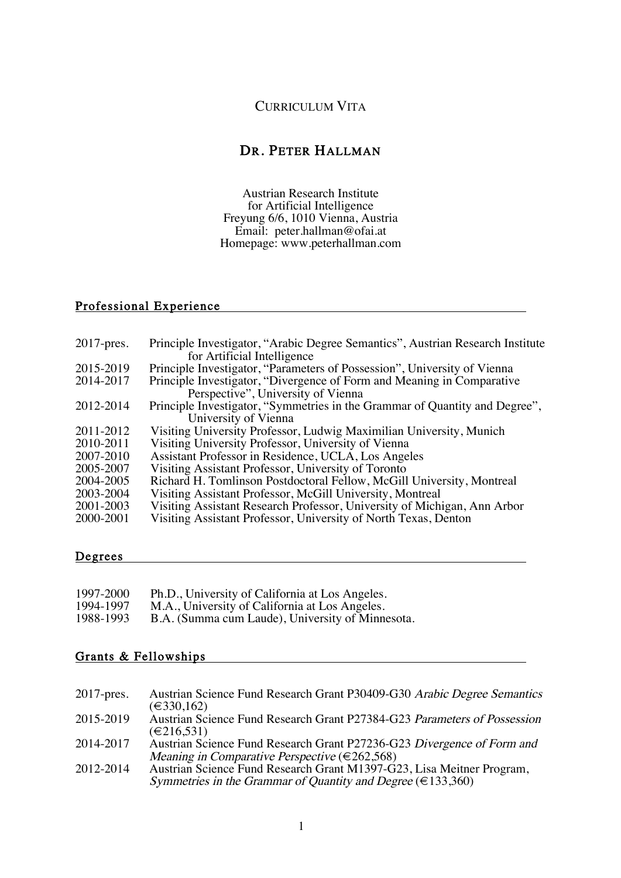### CURRICULUM VITA

## DR. PETER HALLMAN

 Austrian Research Institute for Artificial Intelligence Freyung 6/6, 1010 Vienna, Austria Email: peter.hallman@ofai.at Homepage: www.peterhallman.com

## Professional Experience

| $2017$ -pres. | Principle Investigator, "Arabic Degree Semantics", Austrian Research Institute |
|---------------|--------------------------------------------------------------------------------|
|               | for Artificial Intelligence                                                    |
| 2015-2019     | Principle Investigator, "Parameters of Possession", University of Vienna       |
| 2014-2017     | Principle Investigator, "Divergence of Form and Meaning in Comparative         |
|               | Perspective", University of Vienna                                             |
| 2012-2014     | Principle Investigator, "Symmetries in the Grammar of Quantity and Degree",    |
|               | University of Vienna                                                           |
| 2011-2012     | Visiting University Professor, Ludwig Maximilian University, Munich            |
| 2010-2011     | Visiting University Professor, University of Vienna                            |
| 2007-2010     | Assistant Professor in Residence, UCLA, Los Angeles                            |
| 2005-2007     | Visiting Assistant Professor, University of Toronto                            |
| 2004-2005     | Richard H. Tomlinson Postdoctoral Fellow, McGill University, Montreal          |
| 2003-2004     | Visiting Assistant Professor, McGill University, Montreal                      |
| 2001-2003     | Visiting Assistant Research Professor, University of Michigan, Ann Arbor       |
| 2000-2001     | Visiting Assistant Professor, University of North Texas, Denton                |
|               |                                                                                |

#### Degrees

| 1997-2000 | Ph.D., University of California at Los Angeles.  |
|-----------|--------------------------------------------------|
| 1994-1997 | M.A., University of California at Los Angeles.   |
| 1988-1993 | B.A. (Summa cum Laude), University of Minnesota. |

## Grants & Fellowships **Grants & Fellowships**

| Austrian Science Fund Research Grant P30409-G30 Arabic Degree Semantics<br>$2017$ -pres.                                                  |  |
|-------------------------------------------------------------------------------------------------------------------------------------------|--|
| $(\text{€}330,162)$<br>Austrian Science Fund Research Grant P27384-G23 Parameters of Possession<br>2015-2019<br>(€216,531)                |  |
| Austrian Science Fund Research Grant P27236-G23 Divergence of Form and<br>2014-2017                                                       |  |
| Meaning in Comparative Perspective ( $\in$ 262,568)<br>Austrian Science Fund Research Grant M1397-G23, Lisa Meitner Program,<br>2012-2014 |  |
| Symmetries in the Grammar of Quantity and Degree ( $\in$ 133,360)                                                                         |  |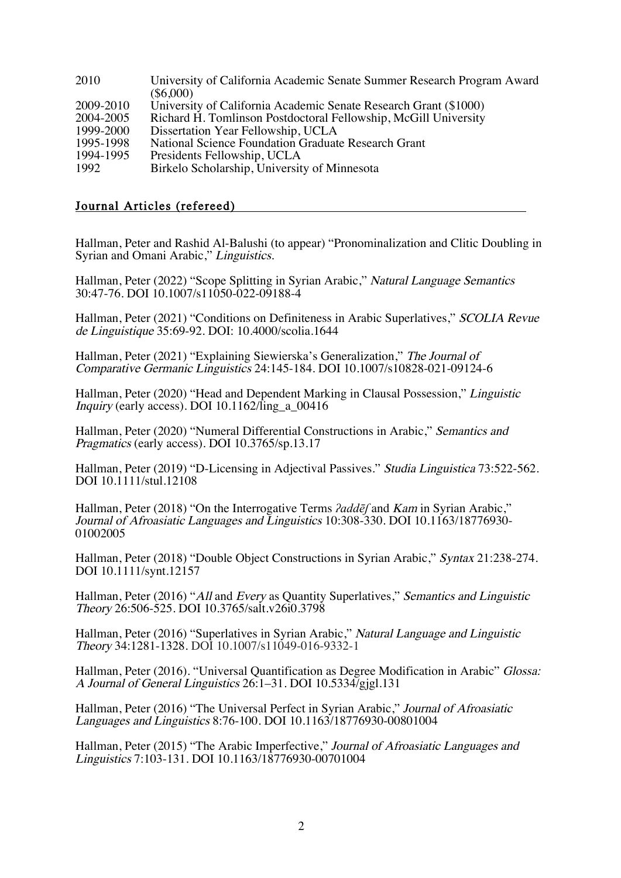| 2010      | University of California Academic Senate Summer Research Program Award |
|-----------|------------------------------------------------------------------------|
|           | $(\$6,000)$                                                            |
| 2009-2010 | University of California Academic Senate Research Grant (\$1000)       |
| 2004-2005 | Richard H. Tomlinson Postdoctoral Fellowship, McGill University        |
| 1999-2000 | Dissertation Year Fellowship, UCLA                                     |
| 1995-1998 | National Science Foundation Graduate Research Grant                    |
| 1994-1995 | Presidents Fellowship, UCLA                                            |
| 1992      | Birkelo Scholarship, University of Minnesota                           |

### Journal Articles (refereed)

Hallman, Peter and Rashid Al-Balushi (to appear) "Pronominalization and Clitic Doubling in Syrian and Omani Arabic," Linguistics.

Hallman, Peter (2022) "Scope Splitting in Syrian Arabic," Natural Language Semantics 30:47-76. DOI 10.1007/s11050-022-09188-4

Hallman, Peter (2021) "Conditions on Definiteness in Arabic Superlatives," SCOLIA Revue de Linguistique 35:69-92. DOI: 10.4000/scolia.1644

Hallman, Peter (2021) "Explaining Siewierska's Generalization," The Journal of Comparative Germanic Linguistics 24:145-184. DOI 10.1007/s10828-021-09124-6

Hallman, Peter (2020) "Head and Dependent Marking in Clausal Possession," Linguistic Inquiry (early access). DOI 10.1162/ling\_a\_00416

Hallman, Peter (2020) "Numeral Differential Constructions in Arabic," Semantics and Pragmatics (early access). DOI 10.3765/sp.13.17

Hallman, Peter (2019) "D-Licensing in Adjectival Passives." Studia Linguistica 73:522-562. DOI 10.1111/stul.12108

Hallman, Peter (2018) "On the Interrogative Terms *ʔaddēʃ* and Kam in Syrian Arabic," Journal of Afroasiatic Languages and Linguistics 10:308-330. DOI 10.1163/18776930- 01002005

Hallman, Peter (2018) "Double Object Constructions in Syrian Arabic," Syntax 21:238-274. DOI 10.1111/synt.12157

Hallman, Peter (2016) "All and Every as Quantity Superlatives," Semantics and Linguistic Theory 26:506-525. DOI 10.3765/salt.v26i0.3798

Hallman, Peter (2016) "Superlatives in Syrian Arabic," Natural Language and Linguistic Theory 34:1281-1328. DOI 10.1007/s11049-016-9332-1

Hallman, Peter (2016). "Universal Quantification as Degree Modification in Arabic" Glossa: A Journal of General Linguistics 26:1–31. DOI 10.5334/gjgl.131

Hallman, Peter (2016) "The Universal Perfect in Syrian Arabic," Journal of Afroasiatic Languages and Linguistics 8:76-100. DOI 10.1163/18776930-00801004

Hallman, Peter (2015) "The Arabic Imperfective," Journal of Afroasiatic Languages and Linguistics 7:103-131. DOI 10.1163/18776930-00701004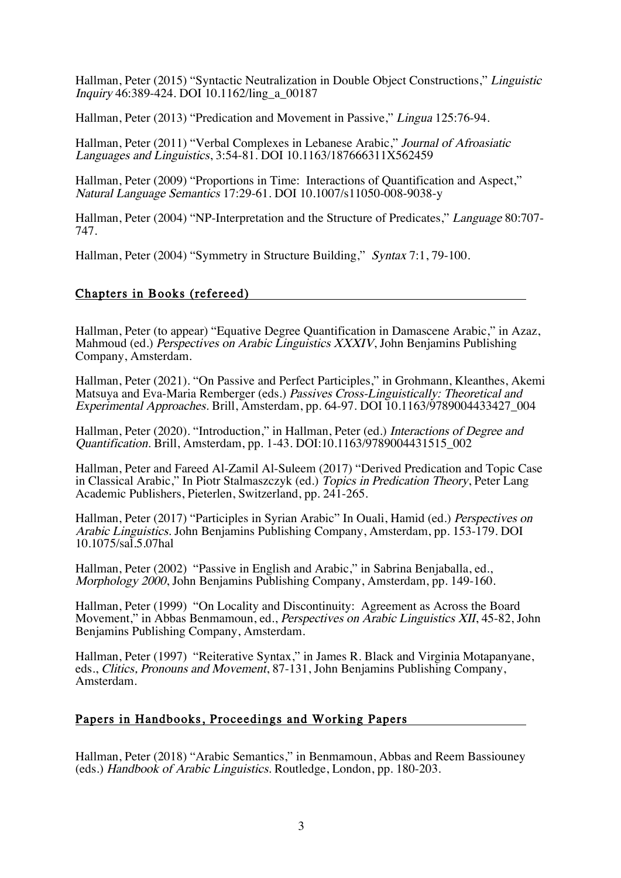Hallman, Peter (2015) "Syntactic Neutralization in Double Object Constructions," Linguistic Inquiry 46:389-424. DOI 10.1162/ling\_a\_00187

Hallman, Peter (2013) "Predication and Movement in Passive," Lingua 125:76-94.

Hallman, Peter (2011) "Verbal Complexes in Lebanese Arabic," Journal of Afroasiatic Languages and Linguistics, 3:54-81. DOI 10.1163/187666311X562459

Hallman, Peter (2009) "Proportions in Time: Interactions of Quantification and Aspect," Natural Language Semantics 17:29-61. DOI 10.1007/s11050-008-9038-y

Hallman, Peter (2004) "NP-Interpretation and the Structure of Predicates," Language 80:707- 747.

Hallman, Peter (2004) "Symmetry in Structure Building," Syntax 7:1, 79-100.

#### Chapters in Books (refereed)

Hallman, Peter (to appear) "Equative Degree Quantification in Damascene Arabic," in Azaz, Mahmoud (ed.) Perspectives on Arabic Linguistics XXXIV, John Benjamins Publishing Company, Amsterdam.

Hallman, Peter (2021). "On Passive and Perfect Participles," in Grohmann, Kleanthes, Akemi Matsuya and Eva-Maria Remberger (eds.) Passives Cross-Linguistically: Theoretical and Experimental Approaches. Brill, Amsterdam, pp. 64-97. DOI 10.1163/9789004433427\_004

Hallman, Peter (2020). "Introduction," in Hallman, Peter (ed.) Interactions of Degree and Quantification. Brill, Amsterdam, pp. 1-43. DOI:10.1163/9789004431515\_002

Hallman, Peter and Fareed Al-Zamil Al-Suleem (2017) "Derived Predication and Topic Case in Classical Arabic," In Piotr Stalmaszczyk (ed.) Topics in Predication Theory, Peter Lang Academic Publishers, Pieterlen, Switzerland, pp. 241-265.

Hallman, Peter (2017) "Participles in Syrian Arabic" In Ouali, Hamid (ed.) Perspectives on Arabic Linguistics. John Benjamins Publishing Company, Amsterdam, pp. 153-179. DOI 10.1075/sal.5.07hal

Hallman, Peter (2002) "Passive in English and Arabic," in Sabrina Benjaballa, ed., Morphology 2000, John Benjamins Publishing Company, Amsterdam, pp. 149-160.

Hallman, Peter (1999) "On Locality and Discontinuity: Agreement as Across the Board Movement," in Abbas Benmamoun, ed., *Perspectives on Arabic Linguistics XII*, 45-82, John Benjamins Publishing Company, Amsterdam.

Hallman, Peter (1997) "Reiterative Syntax," in James R. Black and Virginia Motapanyane, eds., Clitics, Pronouns and Movement, 87-131, John Benjamins Publishing Company, Amsterdam.

#### Papers in Handbooks, Proceedings and Working Papers

Hallman, Peter (2018) "Arabic Semantics," in Benmamoun, Abbas and Reem Bassiouney (eds.) Handbook of Arabic Linguistics. Routledge, London, pp. 180-203.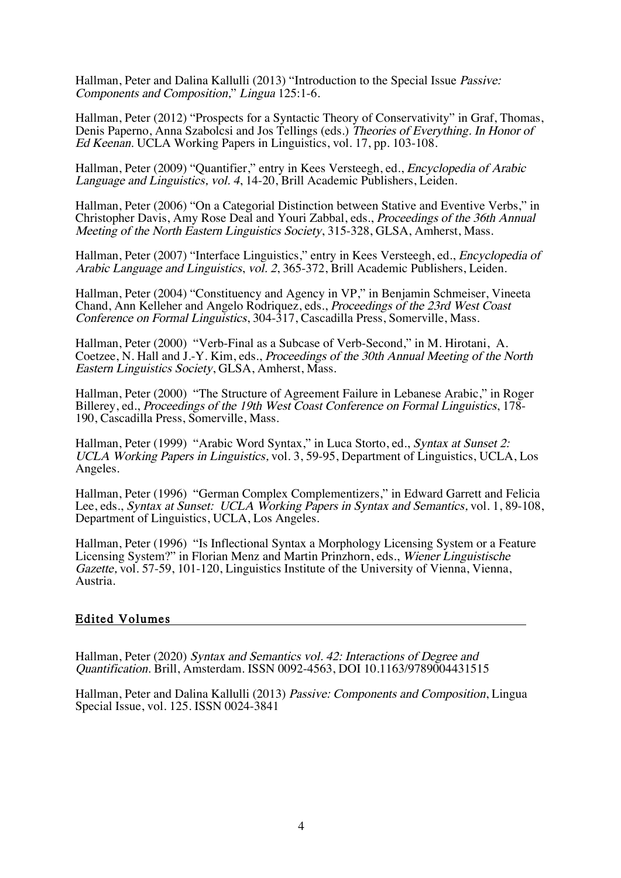Hallman, Peter and Dalina Kallulli (2013) "Introduction to the Special Issue Passive: Components and Composition," Lingua 125:1-6.

Hallman, Peter (2012) "Prospects for a Syntactic Theory of Conservativity" in Graf, Thomas, Denis Paperno, Anna Szabolcsi and Jos Tellings (eds.) Theories of Everything. In Honor of Ed Keenan. UCLA Working Papers in Linguistics, vol. 17, pp. 103-108.

Hallman, Peter (2009) "Quantifier," entry in Kees Versteegh, ed., Encyclopedia of Arabic Language and Linguistics, vol. 4, 14-20, Brill Academic Publishers, Leiden.

Hallman, Peter (2006) "On a Categorial Distinction between Stative and Eventive Verbs," in Christopher Davis, Amy Rose Deal and Youri Zabbal, eds., Proceedings of the 36th Annual Meeting of the North Eastern Linguistics Society, 315-328, GLSA, Amherst, Mass.

Hallman, Peter (2007) "Interface Linguistics," entry in Kees Versteegh, ed., Encyclopedia of Arabic Language and Linguistics, vol. 2, 365-372, Brill Academic Publishers, Leiden.

Hallman, Peter (2004) "Constituency and Agency in VP," in Benjamin Schmeiser, Vineeta Chand, Ann Kelleher and Angelo Rodriquez, eds., Proceedings of the 23rd West Coast Conference on Formal Linguistics, 304-317, Cascadilla Press, Somerville, Mass.

Hallman, Peter (2000) "Verb-Final as a Subcase of Verb-Second," in M. Hirotani, A. Coetzee, N. Hall and J.-Y. Kim, eds., Proceedings of the 30th Annual Meeting of the North Eastern Linguistics Society, GLSA, Amherst, Mass.

Hallman, Peter (2000) "The Structure of Agreement Failure in Lebanese Arabic," in Roger Billerey, ed., Proceedings of the 19th West Coast Conference on Formal Linguistics, 178- 190, Cascadilla Press, Somerville, Mass.

Hallman, Peter (1999) "Arabic Word Syntax," in Luca Storto, ed., Syntax at Sunset 2: UCLA Working Papers in Linguistics, vol. 3, 59-95, Department of Linguistics, UCLA, Los Angeles.

Hallman, Peter (1996) "German Complex Complementizers," in Edward Garrett and Felicia Lee, eds., Syntax at Sunset: UCLA Working Papers in Syntax and Semantics, vol. 1, 89-108, Department of Linguistics, UCLA, Los Angeles.

Hallman, Peter (1996) "Is Inflectional Syntax a Morphology Licensing System or a Feature Licensing System?" in Florian Menz and Martin Prinzhorn, eds., Wiener Linguistische Gazette, vol. 57-59, 101-120, Linguistics Institute of the University of Vienna, Vienna, Austria.

#### Edited Volumes

Hallman, Peter (2020) Syntax and Semantics vol. 42: Interactions of Degree and Quantification. Brill, Amsterdam. ISSN 0092-4563, DOI 10.1163/9789004431515

Hallman, Peter and Dalina Kallulli (2013) Passive: Components and Composition, Lingua Special Issue, vol. 125. ISSN 0024-3841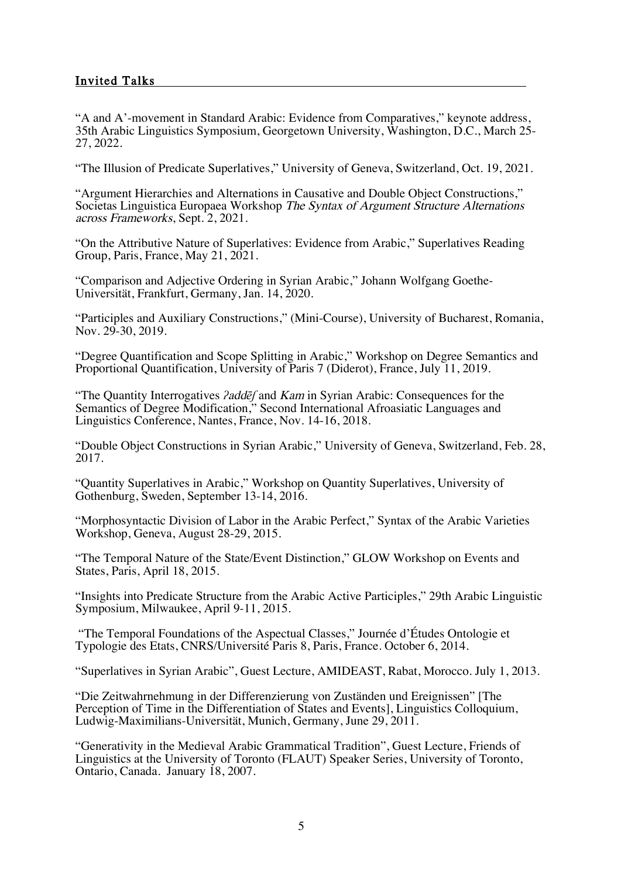## Invited Talks

"A and A'-movement in Standard Arabic: Evidence from Comparatives," keynote address, 35th Arabic Linguistics Symposium, Georgetown University, Washington, D.C., March 25- 27, 2022.

"The Illusion of Predicate Superlatives," University of Geneva, Switzerland, Oct. 19, 2021.

"Argument Hierarchies and Alternations in Causative and Double Object Constructions," Societas Linguistica Europaea Workshop The Syntax of Argument Structure Alternations across Frameworks, Sept. 2, 2021.

"On the Attributive Nature of Superlatives: Evidence from Arabic," Superlatives Reading Group, Paris, France, May 21, 2021.

"Comparison and Adjective Ordering in Syrian Arabic," Johann Wolfgang Goethe- Universität, Frankfurt, Germany, Jan. 14, 2020.

"Participles and Auxiliary Constructions," (Mini-Course), University of Bucharest, Romania, Nov. 29-30, 2019.

"Degree Quantification and Scope Splitting in Arabic," Workshop on Degree Semantics and Proportional Quantification, University of Paris 7 (Diderot), France, July 11, 2019.

"The Quantity Interrogatives *ʔ*add*ēʃ* and Kam in Syrian Arabic: Consequences for the Semantics of Degree Modification," Second International Afroasiatic Languages and Linguistics Conference, Nantes, France, Nov. 14-16, 2018.

"Double Object Constructions in Syrian Arabic," University of Geneva, Switzerland, Feb. 28, 2017.

"Quantity Superlatives in Arabic," Workshop on Quantity Superlatives, University of Gothenburg, Sweden, September 13-14, 2016.

"Morphosyntactic Division of Labor in the Arabic Perfect," Syntax of the Arabic Varieties Workshop, Geneva, August 28-29, 2015.

"The Temporal Nature of the State/Event Distinction," GLOW Workshop on Events and States, Paris, April 18, 2015.

"Insights into Predicate Structure from the Arabic Active Participles," 29th Arabic Linguistic Symposium, Milwaukee, April 9-11, 2015.

"The Temporal Foundations of the Aspectual Classes," Journée d'Études Ontologie et Typologie des Etats, CNRS/Université Paris 8, Paris, France. October 6, 2014.

"Superlatives in Syrian Arabic", Guest Lecture, AMIDEAST, Rabat, Morocco. July 1, 2013.

"Die Zeitwahrnehmung in der Differenzierung von Zuständen und Ereignissen" [The Perception of Time in the Differentiation of States and Events], Linguistics Colloquium, Ludwig-Maximilians-Universität, Munich, Germany, June 29, 2011.

"Generativity in the Medieval Arabic Grammatical Tradition", Guest Lecture, Friends of Linguistics at the University of Toronto (FLAUT) Speaker Series, University of Toronto, Ontario, Canada. January 18, 2007.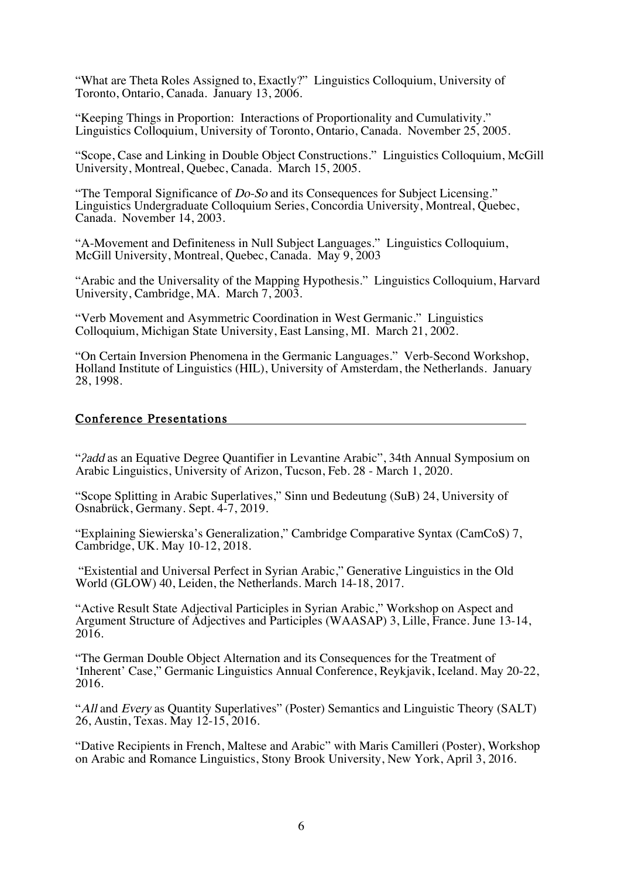"What are Theta Roles Assigned to, Exactly?" Linguistics Colloquium, University of Toronto, Ontario, Canada. January 13, 2006.

"Keeping Things in Proportion: Interactions of Proportionality and Cumulativity." Linguistics Colloquium, University of Toronto, Ontario, Canada. November 25, 2005.

"Scope, Case and Linking in Double Object Constructions." Linguistics Colloquium, McGill University, Montreal, Quebec, Canada. March 15, 2005.

"The Temporal Significance of  $Do-S$  and its Consequences for Subject Licensing." Linguistics Undergraduate Colloquium Series, Concordia University, Montreal, Quebec, Canada. November 14, 2003.

"A-Movement and Definiteness in Null Subject Languages." Linguistics Colloquium, McGill University, Montreal, Quebec, Canada. May 9, 2003

"Arabic and the Universality of the Mapping Hypothesis." Linguistics Colloquium, Harvard University, Cambridge, MA. March 7, 2003.

"Verb Movement and Asymmetric Coordination in West Germanic." Linguistics Colloquium, Michigan State University, East Lansing, MI. March 21, 2002.

"On Certain Inversion Phenomena in the Germanic Languages." Verb-Second Workshop, Holland Institute of Linguistics (HIL), University of Amsterdam, the Netherlands. January 28, 1998.

#### Conference Presentations

"*ʔ*add as an Equative Degree Quantifier in Levantine Arabic", 34th Annual Symposium on Arabic Linguistics, University of Arizon, Tucson, Feb. 28 - March 1, 2020.

"Scope Splitting in Arabic Superlatives," Sinn und Bedeutung (SuB) 24, University of Osnabrück, Germany. Sept. 4-7, 2019.

"Explaining Siewierska's Generalization," Cambridge Comparative Syntax (CamCoS) 7, Cambridge, UK. May 10-12, 2018.

"Existential and Universal Perfect in Syrian Arabic," Generative Linguistics in the Old World (GLOW) 40, Leiden, the Netherlands. March 14-18, 2017.

"Active Result State Adjectival Participles in Syrian Arabic," Workshop on Aspect and Argument Structure of Adjectives and Participles (WAASAP) 3, Lille, France. June 13-14, 2016.

"The German Double Object Alternation and its Consequences for the Treatment of 'Inherent' Case," Germanic Linguistics Annual Conference, Reykjavik, Iceland. May 20-22, 2016.

"All and Every as Quantity Superlatives" (Poster) Semantics and Linguistic Theory (SALT) 26, Austin, Texas. May 12-15, 2016.

"Dative Recipients in French, Maltese and Arabic" with Maris Camilleri (Poster), Workshop on Arabic and Romance Linguistics, Stony Brook University, New York, April 3, 2016.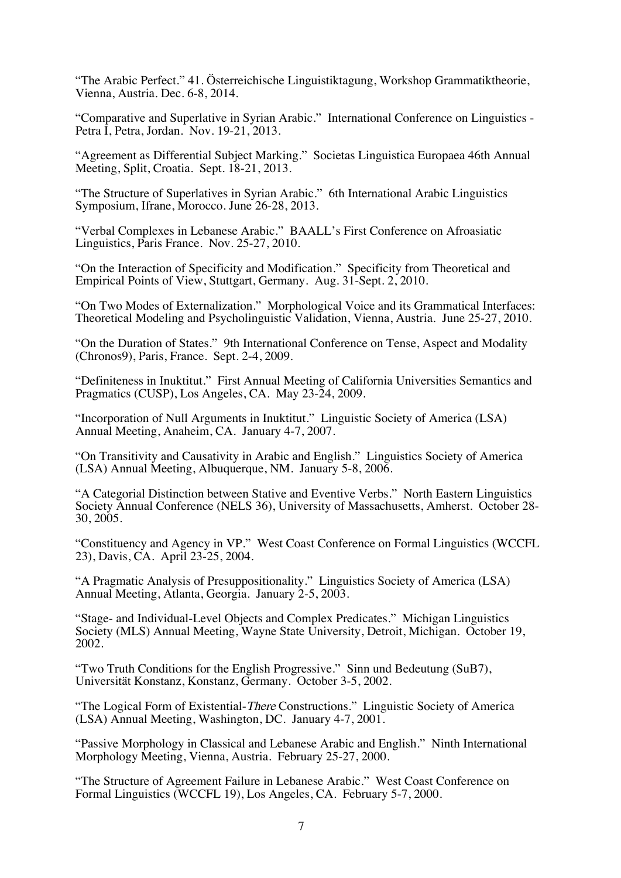"The Arabic Perfect." 41. Österreichische Linguistiktagung, Workshop Grammatiktheorie, Vienna, Austria. Dec. 6-8, 2014.

"Comparative and Superlative in Syrian Arabic." International Conference on Linguistics - Petra I, Petra, Jordan. Nov. 19-21, 2013.

"Agreement as Differential Subject Marking." Societas Linguistica Europaea 46th Annual Meeting, Split, Croatia. Sept. 18-21, 2013.

"The Structure of Superlatives in Syrian Arabic." 6th International Arabic Linguistics Symposium, Ifrane, Morocco. June 26-28, 2013.

"Verbal Complexes in Lebanese Arabic." BAALL's First Conference on Afroasiatic Linguistics, Paris France. Nov. 25-27, 2010.

"On the Interaction of Specificity and Modification." Specificity from Theoretical and Empirical Points of View, Stuttgart, Germany. Aug. 31-Sept. 2, 2010.

"On Two Modes of Externalization." Morphological Voice and its Grammatical Interfaces: Theoretical Modeling and Psycholinguistic Validation, Vienna, Austria. June 25-27, 2010.

"On the Duration of States." 9th International Conference on Tense, Aspect and Modality (Chronos9), Paris, France. Sept. 2-4, 2009.

"Definiteness in Inuktitut." First Annual Meeting of California Universities Semantics and Pragmatics (CUSP), Los Angeles, CA. May 23-24, 2009.

"Incorporation of Null Arguments in Inuktitut." Linguistic Society of America (LSA) Annual Meeting, Anaheim, CA. January 4-7, 2007.

"On Transitivity and Causativity in Arabic and English." Linguistics Society of America (LSA) Annual Meeting, Albuquerque, NM. January 5-8, 2006.

"A Categorial Distinction between Stative and Eventive Verbs." North Eastern Linguistics Society Annual Conference (NELS 36), University of Massachusetts, Amherst. October 28- 30, 2005.

"Constituency and Agency in VP." West Coast Conference on Formal Linguistics (WCCFL 23), Davis, CA. April 23-25, 2004.

"A Pragmatic Analysis of Presuppositionality." Linguistics Society of America (LSA) Annual Meeting, Atlanta, Georgia. January 2-5, 2003.

"Stage- and Individual-Level Objects and Complex Predicates." Michigan Linguistics Society (MLS) Annual Meeting, Wayne State University, Detroit, Michigan. October 19, 2002.

"Two Truth Conditions for the English Progressive." Sinn und Bedeutung (SuB7), Universität Konstanz, Konstanz, Germany. October 3-5, 2002.

"The Logical Form of Existential-There Constructions." Linguistic Society of America (LSA) Annual Meeting, Washington, DC. January 4-7, 2001.

"Passive Morphology in Classical and Lebanese Arabic and English." Ninth International Morphology Meeting, Vienna, Austria. February 25-27, 2000.

"The Structure of Agreement Failure in Lebanese Arabic." West Coast Conference on Formal Linguistics (WCCFL 19), Los Angeles, CA. February 5-7, 2000.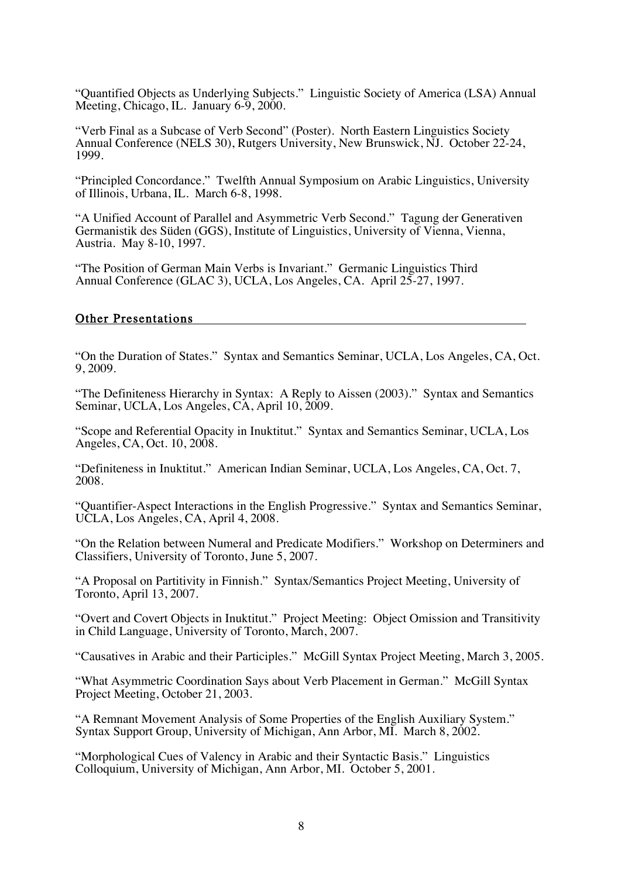"Quantified Objects as Underlying Subjects." Linguistic Society of America (LSA) Annual Meeting, Chicago, IL. January 6-9, 2000.

"Verb Final as a Subcase of Verb Second" (Poster). North Eastern Linguistics Society Annual Conference (NELS 30), Rutgers University, New Brunswick, NJ. October 22-24, 1999.

"Principled Concordance." Twelfth Annual Symposium on Arabic Linguistics, University of Illinois, Urbana, IL. March 6-8, 1998.

"A Unified Account of Parallel and Asymmetric Verb Second." Tagung der Generativen Germanistik des Süden (GGS), Institute of Linguistics, University of Vienna, Vienna, Austria. May 8-10, 1997.

"The Position of German Main Verbs is Invariant." Germanic Linguistics Third Annual Conference (GLAC 3), UCLA, Los Angeles, CA. April 25-27, 1997.

#### Other Presentations

"On the Duration of States." Syntax and Semantics Seminar, UCLA, Los Angeles, CA, Oct. 9, 2009.

"The Definiteness Hierarchy in Syntax: A Reply to Aissen (2003)." Syntax and Semantics Seminar, UCLA, Los Angeles, CA, April 10, 2009.

"Scope and Referential Opacity in Inuktitut." Syntax and Semantics Seminar, UCLA, Los Angeles, CA, Oct. 10, 2008.

"Definiteness in Inuktitut." American Indian Seminar, UCLA, Los Angeles, CA, Oct. 7, 2008.

"Quantifier-Aspect Interactions in the English Progressive." Syntax and Semantics Seminar, UCLA, Los Angeles, CA, April 4, 2008.

"On the Relation between Numeral and Predicate Modifiers." Workshop on Determiners and Classifiers, University of Toronto, June 5, 2007.

"A Proposal on Partitivity in Finnish." Syntax/Semantics Project Meeting, University of Toronto, April 13, 2007.

"Overt and Covert Objects in Inuktitut." Project Meeting: Object Omission and Transitivity in Child Language, University of Toronto, March, 2007.

"Causatives in Arabic and their Participles." McGill Syntax Project Meeting, March 3, 2005.

"What Asymmetric Coordination Says about Verb Placement in German." McGill Syntax Project Meeting, October 21, 2003.

"A Remnant Movement Analysis of Some Properties of the English Auxiliary System." Syntax Support Group, University of Michigan, Ann Arbor, MI. March 8, 2002.

"Morphological Cues of Valency in Arabic and their Syntactic Basis." Linguistics Colloquium, University of Michigan, Ann Arbor, MI. October 5, 2001.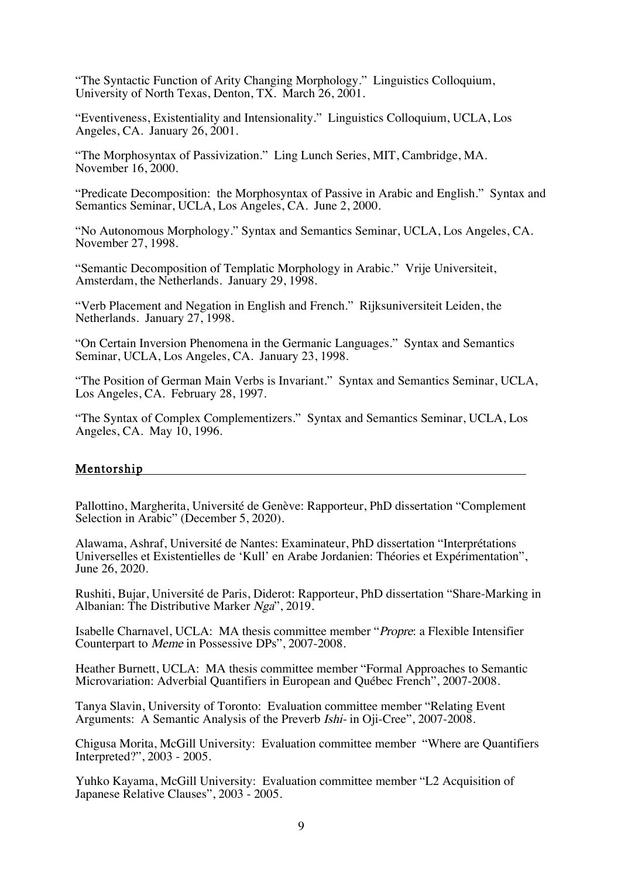"The Syntactic Function of Arity Changing Morphology." Linguistics Colloquium, University of North Texas, Denton, TX. March 26, 2001.

"Eventiveness, Existentiality and Intensionality." Linguistics Colloquium, UCLA, Los Angeles, CA. January 26, 2001.

"The Morphosyntax of Passivization." Ling Lunch Series, MIT, Cambridge, MA. November 16, 2000.

"Predicate Decomposition: the Morphosyntax of Passive in Arabic and English." Syntax and Semantics Seminar, UCLA, Los Angeles, CA. June 2, 2000.

"No Autonomous Morphology." Syntax and Semantics Seminar, UCLA, Los Angeles, CA. November 27, 1998.

"Semantic Decomposition of Templatic Morphology in Arabic." Vrije Universiteit, Amsterdam, the Netherlands. January 29, 1998.

"Verb Placement and Negation in English and French." Rijksuniversiteit Leiden, the Netherlands. January 27, 1998.

"On Certain Inversion Phenomena in the Germanic Languages." Syntax and Semantics Seminar, UCLA, Los Angeles, CA. January 23, 1998.

"The Position of German Main Verbs is Invariant." Syntax and Semantics Seminar, UCLA, Los Angeles, CA. February 28, 1997.

"The Syntax of Complex Complementizers." Syntax and Semantics Seminar, UCLA, Los Angeles, CA. May 10, 1996.

#### Mentorship

Pallottino, Margherita, Université de Genève: Rapporteur, PhD dissertation "Complement Selection in Arabic" (December 5, 2020).

Alawama, Ashraf, Université de Nantes: Examinateur, PhD dissertation "Interprétations Universelles et Existentielles de 'Kull' en Arabe Jordanien: Théories et Expérimentation", June 26, 2020.

Rushiti, Bujar, Université de Paris, Diderot: Rapporteur, PhD dissertation "Share-Marking in Albanian: The Distributive Marker Nga", 2019.

Isabelle Charnavel, UCLA: MA thesis committee member "Propre: a Flexible Intensifier Counterpart to Meme in Possessive DPs", 2007-2008.

Heather Burnett, UCLA: MA thesis committee member "Formal Approaches to Semantic Microvariation: Adverbial Quantifiers in European and Québec French", 2007-2008.

Tanya Slavin, University of Toronto: Evaluation committee member "Relating Event Arguments: A Semantic Analysis of the Preverb Ishi- in Oji-Cree", 2007-2008.

Chigusa Morita, McGill University: Evaluation committee member "Where are Quantifiers Interpreted?", 2003 - 2005.

Yuhko Kayama, McGill University: Evaluation committee member "L2 Acquisition of Japanese Relative Clauses", 2003 - 2005.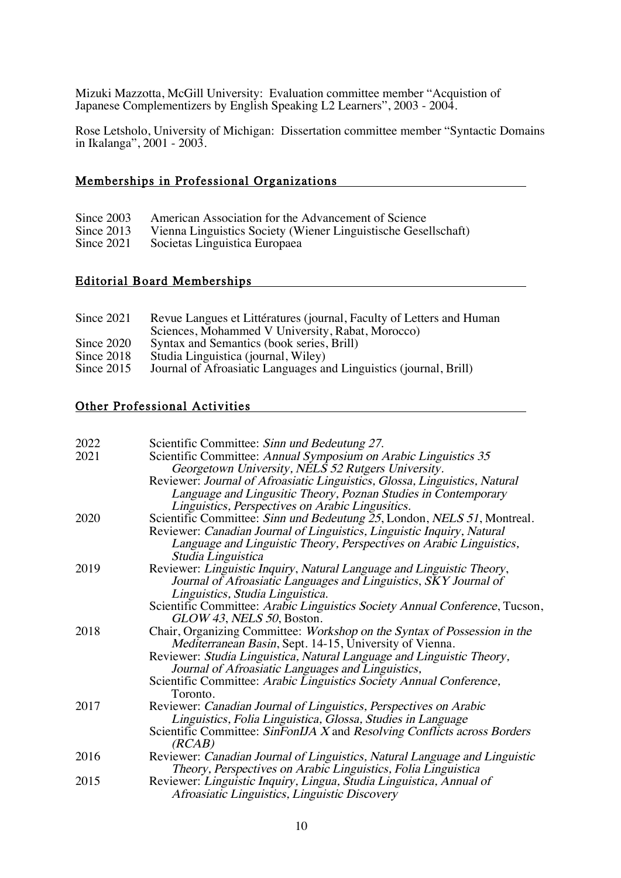Mizuki Mazzotta, McGill University: Evaluation committee member "Acquistion of Japanese Complementizers by English Speaking L2 Learners", 2003 - 2004.

Rose Letsholo, University of Michigan: Dissertation committee member "Syntactic Domains in Ikalanga", 2001 - 2003.

## Memberships in Professional Organizations

| Since $2003$ | American Association for the Advancement of Science            |
|--------------|----------------------------------------------------------------|
| Since $2013$ | Vienna Linguistics Society (Wiener Linguistische Gesellschaft) |
| Since $2021$ | Societas Linguistica Europaea                                  |

## Editorial Board Memberships

| Since 2021   | Revue Langues et Littératures (journal, Faculty of Letters and Human |
|--------------|----------------------------------------------------------------------|
|              | Sciences, Mohammed V University, Rabat, Morocco)                     |
| Since 2020   | Syntax and Semantics (book series, Brill)                            |
| Since 2018   | Studia Linguistica (journal, Wiley)                                  |
| Since $2015$ | Journal of Afroasiatic Languages and Linguistics (journal, Brill)    |
|              |                                                                      |

## Other Professional Activities

| 2022 | Scientific Committee: Sinn und Bedeutung 27.                                |
|------|-----------------------------------------------------------------------------|
| 2021 | Scientific Committee: Annual Symposium on Arabic Linguistics 35             |
|      | Georgetown University, NELS 52 Rutgers University.                          |
|      | Reviewer: Journal of Afroasiatic Linguistics, Glossa, Linguistics, Natural  |
|      | Language and Lingusitic Theory, Poznan Studies in Contemporary              |
|      | Linguistics, Perspectives on Arabic Lingusitics.                            |
| 2020 | Scientific Committee: Sinn und Bedeutung 25, London, NELS 51, Montreal.     |
|      | Reviewer: Canadian Journal of Linguistics, Linguistic Inquiry, Natural      |
|      | Language and Linguistic Theory, Perspectives on Arabic Linguistics,         |
|      | Studia Linguistica                                                          |
| 2019 | Reviewer: Linguistic Inquiry, Natural Language and Linguistic Theory,       |
|      | Journal of Afroasiatic Languages and Linguistics, SKY Journal of            |
|      | Linguistics, Studia Linguistica.                                            |
|      | Scientific Committee: Arabic Linguistics Society Annual Conference, Tucson, |
|      | GLOW 43, NELS 50, Boston.                                                   |
| 2018 | Chair, Organizing Committee: Workshop on the Syntax of Possession in the    |
|      | Mediterranean Basin, Sept. 14-15, University of Vienna.                     |
|      | Reviewer: Studia Linguistica, Natural Language and Linguistic Theory,       |
|      | Journal of Afroasiatic Languages and Linguistics,                           |
|      | Scientific Committee: Arabic Linguistics Society Annual Conference,         |
|      | Toronto.                                                                    |
| 2017 | Reviewer: Canadian Journal of Linguistics, Perspectives on Arabic           |
|      | Linguistics, Folia Linguistica, Glossa, Studies in Language                 |
|      | Scientific Committee: SinFonIJA X and Resolving Conflicts across Borders    |
|      | (RCAB)                                                                      |
| 2016 | Reviewer: Canadian Journal of Linguistics, Natural Language and Linguistic  |
|      | Theory, Perspectives on Arabic Linguistics, Folia Linguistica               |
| 2015 | Reviewer: Linguistic Inquiry, Lingua, Studia Linguistica, Annual of         |
|      | Afroasiatic Linguistics, Linguistic Discovery                               |